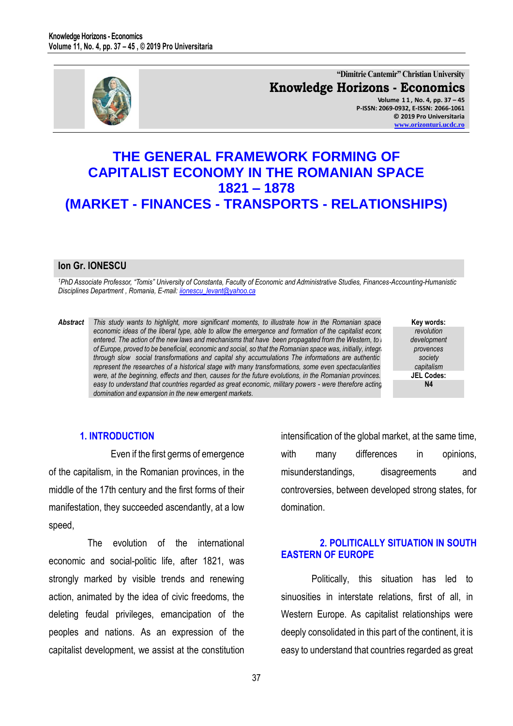

**"Dimitrie Cantemir" Christian University Knowledge Horizons - Economics Volume 1 1 , No. 4, pp. 37 – 45 P-ISSN: 2069-0932, E-ISSN: 2066-1061 © 2019 Pro Universitaria [www.orizonturi.ucdc.ro](http://www.orizonturi.ucdc.ro/)**

# **THE GENERAL FRAMEWORK FORMING OF CAPITALIST ECONOMY IN THE ROMANIAN SPACE 1821 – 1878 (MARKET - FINANCES - TRANSPORTS - RELATIONSHIPS)**

#### **Ion Gr. IONESCU**

*<sup>1</sup>PhD Associate Professor, "Tomis" University of Constanta, Faculty of Economic and Administrative Studies, Finances-Accounting-Humanistic Disciplines Department , Romania, E-mail[: iionescu\\_levant@yahoo.ca](mailto:iionescu_levant@yahoo.ca)* 

- *Abstract This study wants to highlight, more significant moments, to illustrate how in the Romanian space the economic ideas of the liberal type, able to allow the emergence and formation of the capitalist economy*, **entered. The action of the new laws and mechanisms that have been propagated from the Western, to East** *of Europe, proved to be beneficial, economic and social, so that the Romanian space was, initially, integrated in through slow social transformations and capital shy accumulations The informations are authentic and* represent the researches of a historical stage with many transformations, some even spectacularities *were, at the beginning, effects and then, causes for the future evolutions, in the Romanian provinces. easy to understand that countries regarded as great economic, military powers - were therefore acting, for domination and expansion in the new emergent markets.*
- **Key words:** *revolution development provences society capitalism* **JEL Codes: N4**

#### **1. INTRODUCTION**

Even if the first germs of emergence of the capitalism, in the Romanian provinces, in the middle of the 17th century and the first forms of their manifestation, they succeeded ascendantly, at a low speed,

The evolution of the international economic and social-politic life, after 1821, was strongly marked by visible trends and renewing action, animated by the idea of civic freedoms, the deleting feudal privileges, emancipation of the peoples and nations. As an expression of the capitalist development, we assist at the constitution intensification of the global market, at the same time, with many differences in opinions, misunderstandings, disagreements and controversies, between developed strong states, for domination.

## **2. POLITICALLY SITUATION IN SOUTH EASTERN OF EUROPE**

Politically, this situation has led to sinuosities in interstate relations, first of all, in Western Europe. As capitalist relationships were deeply consolidated in this part of the continent, it is easy to understand that countries regarded as great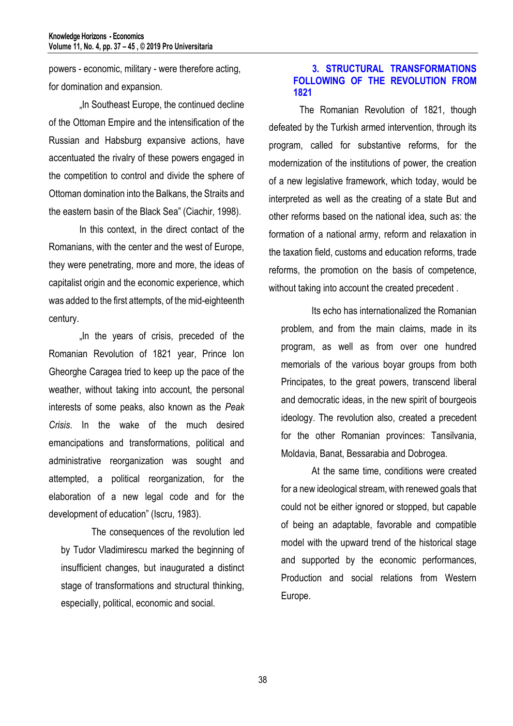powers - economic, military - were therefore acting, for domination and expansion.

"In Southeast Europe, the continued decline of the Ottoman Empire and the intensification of the Russian and Habsburg expansive actions, have accentuated the rivalry of these powers engaged in the competition to control and divide the sphere of Ottoman domination into the Balkans, the Straits and the eastern basin of the Black Sea" (Ciachir, 1998).

In this context, in the direct contact of the Romanians, with the center and the west of Europe, they were penetrating, more and more, the ideas of capitalist origin and the economic experience, which was added to the first attempts, of the mid-eighteenth century.

In the years of crisis, preceded of the Romanian Revolution of 1821 year, Prince Ion Gheorghe Caragea tried to keep up the pace of the weather, without taking into account, the personal interests of some peaks, also known as the *Peak Crisis*. In the wake of the much desired emancipations and transformations, political and administrative reorganization was sought and attempted, a political reorganization, for the elaboration of a new legal code and for the development of education" (Iscru, 1983).

The consequences of the revolution led by Tudor Vladimirescu marked the beginning of insufficient changes, but inaugurated a distinct stage of transformations and structural thinking, especially, political, economic and social.

## **3. STRUCTURAL TRANSFORMATIONS FOLLOWING OF THE REVOLUTION FROM 1821**

The Romanian Revolution of 1821, though defeated by the Turkish armed intervention, through its program, called for substantive reforms, for the modernization of the institutions of power, the creation of a new legislative framework, which today, would be interpreted as well as the creating of a state But and other reforms based on the national idea, such as: the formation of a national army, reform and relaxation in the taxation field, customs and education reforms, trade reforms, the promotion on the basis of competence, without taking into account the created precedent.

Its echo has internationalized the Romanian problem, and from the main claims, made in its program, as well as from over one hundred memorials of the various boyar groups from both Principates, to the great powers, transcend liberal and democratic ideas, in the new spirit of bourgeois ideology. The revolution also, created a precedent for the other Romanian provinces: Tansilvania, Moldavia, Banat, Bessarabia and Dobrogea.

At the same time, conditions were created for a new ideological stream, with renewed goals that could not be either ignored or stopped, but capable of being an adaptable, favorable and compatible model with the upward trend of the historical stage and supported by the economic performances, Production and social relations from Western Europe.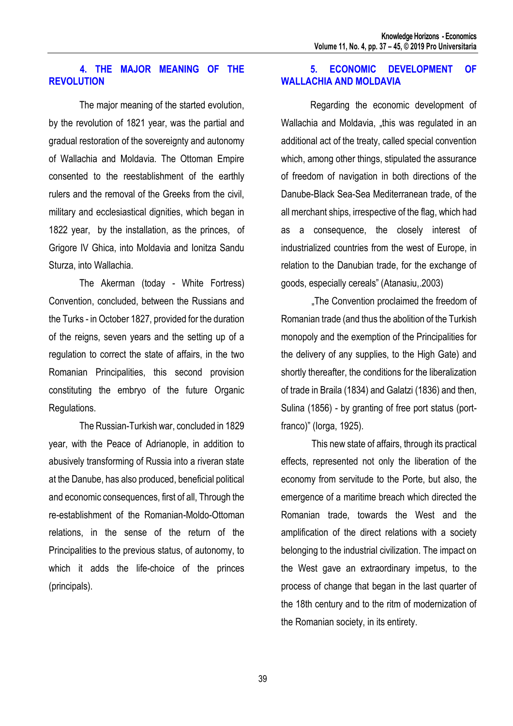#### **4. THE MAJOR MEANING OF THE REVOLUTION**

The major meaning of the started evolution, by the revolution of 1821 year, was the partial and gradual restoration of the sovereignty and autonomy of Wallachia and Moldavia. The Ottoman Empire consented to the reestablishment of the earthly rulers and the removal of the Greeks from the civil, military and ecclesiastical dignities, which began in 1822 year, by the installation, as the princes, of Grigore IV Ghica, into Moldavia and Ionitza Sandu Sturza, into Wallachia.

The Akerman (today - White Fortress) Convention, concluded, between the Russians and the Turks - in October 1827, provided for the duration of the reigns, seven years and the setting up of a regulation to correct the state of affairs, in the two Romanian Principalities, this second provision constituting the embryo of the future Organic Regulations.

The Russian-Turkish war, concluded in 1829 year, with the Peace of Adrianople, in addition to abusively transforming of Russia into a riveran state at the Danube, has also produced, beneficial political and economic consequences, first of all, Through the re-establishment of the Romanian-Moldo-Ottoman relations, in the sense of the return of the Principalities to the previous status, of autonomy, to which it adds the life-choice of the princes (principals).

## **5. ECONOMIC DEVELOPMENT OF WALLACHIA AND MOLDAVIA**

Regarding the economic development of Wallachia and Moldavia, "this was regulated in an additional act of the treaty, called special convention which, among other things, stipulated the assurance of freedom of navigation in both directions of the Danube-Black Sea-Sea Mediterranean trade, of the all merchant ships, irrespective of the flag, which had as a consequence, the closely interest of industrialized countries from the west of Europe, in relation to the Danubian trade, for the exchange of goods, especially cereals" (Atanasiu,.2003)

"The Convention proclaimed the freedom of Romanian trade (and thus the abolition of the Turkish monopoly and the exemption of the Principalities for the delivery of any supplies, to the High Gate) and shortly thereafter, the conditions for the liberalization of trade in Braila (1834) and Galatzi (1836) and then, Sulina (1856) - by granting of free port status (portfranco)" (Iorga, 1925).

This new state of affairs, through its practical effects, represented not only the liberation of the economy from servitude to the Porte, but also, the emergence of a maritime breach which directed the Romanian trade, towards the West and the amplification of the direct relations with a society belonging to the industrial civilization. The impact on the West gave an extraordinary impetus, to the process of change that began in the last quarter of the 18th century and to the ritm of modernization of the Romanian society, in its entirety.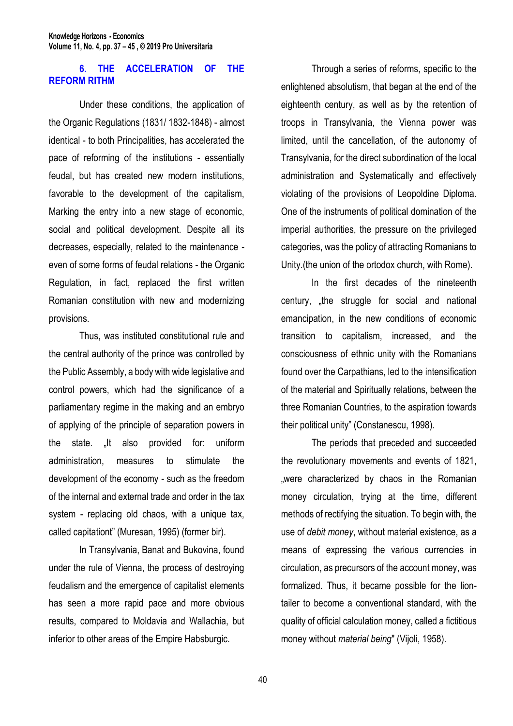# **6. THE ACCELERATION OF THE REFORM RITHM**

Under these conditions, the application of the Organic Regulations (1831/ 1832-1848) - almost identical - to both Principalities, has accelerated the pace of reforming of the institutions - essentially feudal, but has created new modern institutions, favorable to the development of the capitalism, Marking the entry into a new stage of economic, social and political development. Despite all its decreases, especially, related to the maintenance even of some forms of feudal relations - the Organic Regulation, in fact, replaced the first written Romanian constitution with new and modernizing provisions.

Thus, was instituted constitutional rule and the central authority of the prince was controlled by the Public Assembly, a body with wide legislative and control powers, which had the significance of a parliamentary regime in the making and an embryo of applying of the principle of separation powers in the state. It also provided for: uniform administration, measures to stimulate the development of the economy - such as the freedom of the internal and external trade and order in the tax system - replacing old chaos, with a unique tax, called capitationt" (Muresan, 1995) (former bir).

In Transylvania, Banat and Bukovina, found under the rule of Vienna, the process of destroying feudalism and the emergence of capitalist elements has seen a more rapid pace and more obvious results, compared to Moldavia and Wallachia, but inferior to other areas of the Empire Habsburgic.

Through a series of reforms, specific to the enlightened absolutism, that began at the end of the eighteenth century, as well as by the retention of troops in Transylvania, the Vienna power was limited, until the cancellation, of the autonomy of Transylvania, for the direct subordination of the local administration and Systematically and effectively violating of the provisions of Leopoldine Diploma. One of the instruments of political domination of the imperial authorities, the pressure on the privileged categories, was the policy of attracting Romanians to Unity.(the union of the ortodox church, with Rome).

In the first decades of the nineteenth century, "the struggle for social and national emancipation, in the new conditions of economic transition to capitalism, increased, and the consciousness of ethnic unity with the Romanians found over the Carpathians, led to the intensification of the material and Spiritually relations, between the three Romanian Countries, to the aspiration towards their political unity" (Constanescu, 1998).

The periods that preceded and succeeded the revolutionary movements and events of 1821, were characterized by chaos in the Romanian money circulation, trying at the time, different methods of rectifying the situation. To begin with, the use of *debit money*, without material existence, as a means of expressing the various currencies in circulation, as precursors of the account money, was formalized. Thus, it became possible for the liontailer to become a conventional standard, with the quality of official calculation money, called a fictitious money without *material being*" (Vijoli, 1958).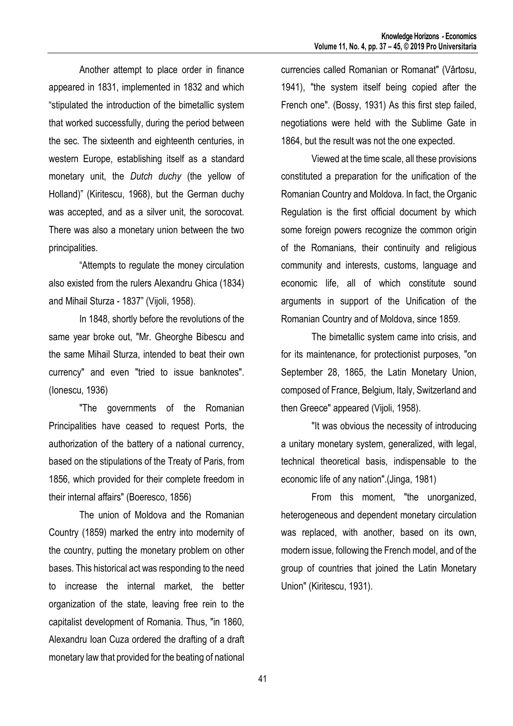Another attempt to place order in finance appeared in 1831, implemented in 1832 and which "stipulated the introduction of the bimetallic system that worked successfully, during the period between the sec. The sixteenth and eighteenth centuries, in western Europe, establishing itself as a standard monetary unit, the *Dutch duchy* (the yellow of Holland)" (Kiritescu, 1968), but the German duchy was accepted, and as a silver unit, the sorocovat. There was also a monetary union between the two principalities.

"Attempts to regulate the money circulation also existed from the rulers Alexandru Ghica (1834) and Mihail Sturza - 1837" (Vijoli, 1958).

In 1848, shortly before the revolutions of the same year broke out, "Mr. Gheorghe Bibescu and the same Mihail Sturza, intended to beat their own currency" and even "tried to issue banknotes". (Ionescu, 1936)

"The governments of the Romanian Principalities have ceased to request Ports, the authorization of the battery of a national currency, based on the stipulations of the Treaty of Paris, from 1856, which provided for their complete freedom in their internal affairs" (Boeresco, 1856)

The union of Moldova and the Romanian Country (1859) marked the entry into modernity of the country, putting the monetary problem on other bases. This historical act was responding to the need to increase the internal market, the better organization of the state, leaving free rein to the capitalist development of Romania. Thus, "in 1860, Alexandru Ioan Cuza ordered the drafting of a draft monetary law that provided for the beating of national

currencies called Romanian or Romanat" (Vârtosu, 1941), "the system itself being copied after the French one". (Bossy, 1931) As this first step failed, negotiations were held with the Sublime Gate in 1864, but the result was not the one expected.

Viewed at the time scale, all these provisions constituted a preparation for the unification of the Romanian Country and Moldova. In fact, the Organic Regulation is the first official document by which some foreign powers recognize the common origin of the Romanians, their continuity and religious community and interests, customs, language and economic life, all of which constitute sound arguments in support of the Unification of the Romanian Country and of Moldova, since 1859.

The bimetallic system came into crisis, and for its maintenance, for protectionist purposes, "on September 28, 1865, the Latin Monetary Union, composed of France, Belgium, Italy, Switzerland and then Greece" appeared (Vijoli, 1958).

"It was obvious the necessity of introducing a unitary monetary system, generalized, with legal, technical theoretical basis, indispensable to the economic life of any nation".(Jinga, 1981)

From this moment, "the unorganized, heterogeneous and dependent monetary circulation was replaced, with another, based on its own, modern issue, following the French model, and of the group of countries that joined the Latin Monetary Union" (Kiritescu, 1931).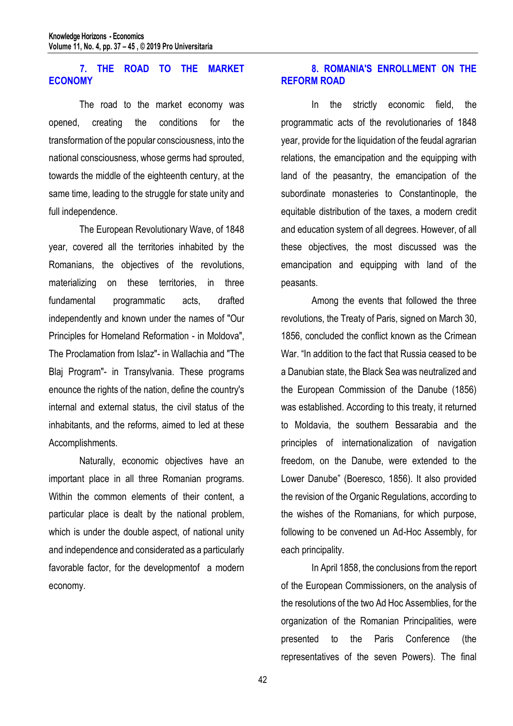## **7. THE ROAD TO THE MARKET ECONOMY**

The road to the market economy was opened, creating the conditions for the transformation of the popular consciousness, into the national consciousness, whose germs had sprouted, towards the middle of the eighteenth century, at the same time, leading to the struggle for state unity and full independence.

The European Revolutionary Wave, of 1848 year, covered all the territories inhabited by the Romanians, the objectives of the revolutions, materializing on these territories, in three fundamental programmatic acts, drafted independently and known under the names of "Our Principles for Homeland Reformation - in Moldova", The Proclamation from Islaz"- in Wallachia and "The Blaj Program"- in Transylvania. These programs enounce the rights of the nation, define the country's internal and external status, the civil status of the inhabitants, and the reforms, aimed to led at these Accomplishments.

Naturally, economic objectives have an important place in all three Romanian programs. Within the common elements of their content, a particular place is dealt by the national problem, which is under the double aspect, of national unity and independence and considerated as a particularly favorable factor, for the developmentof a modern economy.

## **8. ROMANIA'S ENROLLMENT ON THE REFORM ROAD**

In the strictly economic field, the programmatic acts of the revolutionaries of 1848 year, provide for the liquidation of the feudal agrarian relations, the emancipation and the equipping with land of the peasantry, the emancipation of the subordinate monasteries to Constantinople, the equitable distribution of the taxes, a modern credit and education system of all degrees. However, of all these objectives, the most discussed was the emancipation and equipping with land of the peasants.

Among the events that followed the three revolutions, the Treaty of Paris, signed on March 30, 1856, concluded the conflict known as the Crimean War. "In addition to the fact that Russia ceased to be a Danubian state, the Black Sea was neutralized and the European Commission of the Danube (1856) was established. According to this treaty, it returned to Moldavia, the southern Bessarabia and the principles of internationalization of navigation freedom, on the Danube, were extended to the Lower Danube" (Boeresco, 1856). It also provided the revision of the Organic Regulations, according to the wishes of the Romanians, for which purpose, following to be convened un Ad-Hoc Assembly, for each principality.

In April 1858, the conclusions from the report of the European Commissioners, on the analysis of the resolutions of the two Ad Hoc Assemblies, for the organization of the Romanian Principalities, were presented to the Paris Conference (the representatives of the seven Powers). The final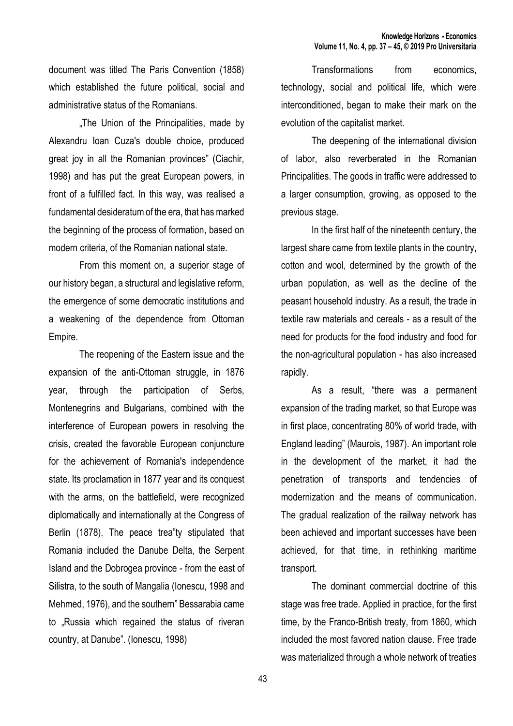document was titled The Paris Convention (1858) which established the future political, social and administrative status of the Romanians.

.The Union of the Principalities, made by Alexandru Ioan Cuza's double choice, produced great joy in all the Romanian provinces" (Ciachir, 1998) and has put the great European powers, in front of a fulfilled fact. In this way, was realised a fundamental desideratum of the era, that has marked the beginning of the process of formation, based on modern criteria, of the Romanian national state.

From this moment on, a superior stage of our history began, a structural and legislative reform, the emergence of some democratic institutions and a weakening of the dependence from Ottoman Empire.

The reopening of the Eastern issue and the expansion of the anti-Ottoman struggle, in 1876 year, through the participation of Serbs, Montenegrins and Bulgarians, combined with the interference of European powers in resolving the crisis, created the favorable European conjuncture for the achievement of Romania's independence state. Its proclamation in 1877 year and its conquest with the arms, on the battlefield, were recognized diplomatically and internationally at the Congress of Berlin (1878). The peace trea"ty stipulated that Romania included the Danube Delta, the Serpent Island and the Dobrogea province - from the east of Silistra, to the south of Mangalia (Ionescu, 1998 and Mehmed, 1976), and the southern" Bessarabia came to "Russia which regained the status of riveran country, at Danube". (Ionescu, 1998)

Transformations from economics, technology, social and political life, which were interconditioned, began to make their mark on the evolution of the capitalist market.

The deepening of the international division of labor, also reverberated in the Romanian Principalities. The goods in traffic were addressed to a larger consumption, growing, as opposed to the previous stage.

In the first half of the nineteenth century, the largest share came from textile plants in the country, cotton and wool, determined by the growth of the urban population, as well as the decline of the peasant household industry. As a result, the trade in textile raw materials and cereals - as a result of the need for products for the food industry and food for the non-agricultural population - has also increased rapidly.

As a result, "there was a permanent expansion of the trading market, so that Europe was in first place, concentrating 80% of world trade, with England leading" (Maurois, 1987). An important role in the development of the market, it had the penetration of transports and tendencies of modernization and the means of communication. The gradual realization of the railway network has been achieved and important successes have been achieved, for that time, in rethinking maritime transport.

The dominant commercial doctrine of this stage was free trade. Applied in practice, for the first time, by the Franco-British treaty, from 1860, which included the most favored nation clause. Free trade was materialized through a whole network of treaties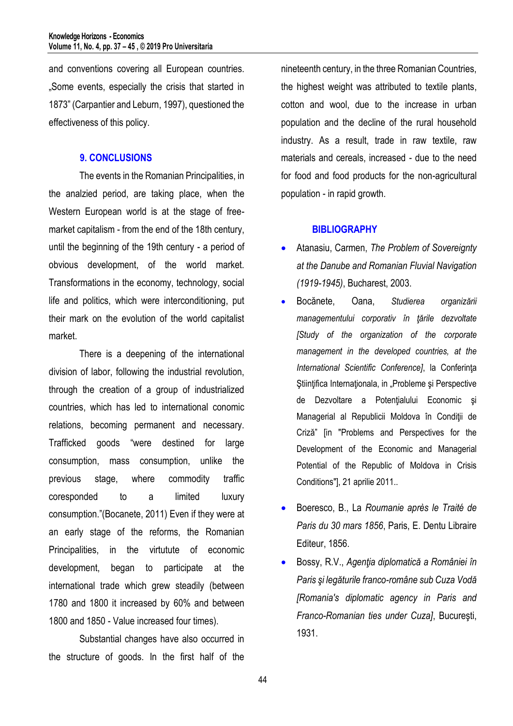and conventions covering all European countries. "Some events, especially the crisis that started in 1873" (Carpantier and Leburn, 1997), questioned the effectiveness of this policy.

#### **9. CONCLUSIONS**

The events in the Romanian Principalities, in the analzied period, are taking place, when the Western European world is at the stage of freemarket capitalism - from the end of the 18th century, until the beginning of the 19th century - a period of obvious development, of the world market. Transformations in the economy, technology, social life and politics, which were interconditioning, put their mark on the evolution of the world capitalist market.

There is a deepening of the international division of labor, following the industrial revolution, through the creation of a group of industrialized countries, which has led to international conomic relations, becoming permanent and necessary. Trafficked goods "were destined for large consumption, mass consumption, unlike the previous stage, where commodity traffic coresponded to a limited luxury consumption."(Bocanete, 2011) Even if they were at an early stage of the reforms, the Romanian Principalities, in the virtutute of economic development, began to participate at the international trade which grew steadily (between 1780 and 1800 it increased by 60% and between 1800 and 1850 - Value increased four times).

Substantial changes have also occurred in the structure of goods. In the first half of the

nineteenth century, in the three Romanian Countries, the highest weight was attributed to textile plants, cotton and wool, due to the increase in urban population and the decline of the rural household industry. As a result, trade in raw textile, raw materials and cereals, increased - due to the need for food and food products for the non-agricultural population - in rapid growth.

#### **BIBLIOGRAPHY**

- Atanasiu, Carmen, *The Problem of Sovereignty at the Danube and Romanian Fluvial Navigation (1919-1945)*, Bucharest, 2003.
- Bocănete, Oana, *Studierea organizării managementului corporativ în ţările dezvoltate [Study of the organization of the corporate management in the developed countries, at the International Scientific Conference]*, la Conferinţa Stiințifica Internaționala, in "Probleme și Perspective de Dezvoltare a Potenţialului Economic şi Managerial al Republicii Moldova în Condiţii de Criză" [in "Problems and Perspectives for the Development of the Economic and Managerial Potential of the Republic of Moldova in Crisis Conditions"], 21 aprilie 2011..
- Boeresco, B., La *Roumanie après le Traité de Paris du 30 mars 1856*, Paris, E. Dentu Libraire Editeur, 1856.
- Bossy, R.V., *Agenţia diplomatică a României în Paris şi legăturile franco-române sub Cuza Vodă [Romania's diplomatic agency in Paris and Franco-Romanian ties under Cuza]*, Bucureşti, 1931.